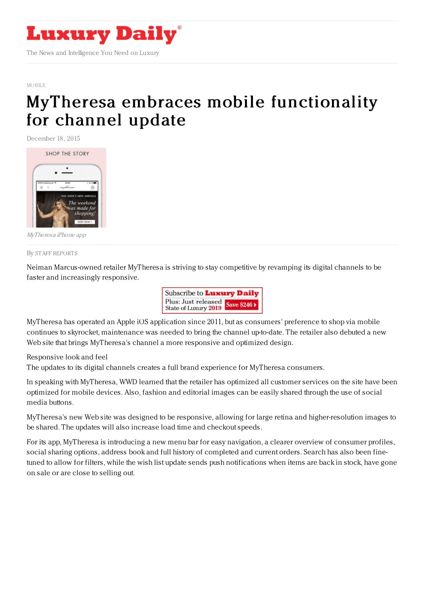

## [MOBILE](https://www.luxurydaily.com/category/news/mobile-news/)

## MyTheresa embraces mobile [functionality](https://www.luxurydaily.com/mytheresa-embraces-mobile-functionality-for-channel-update/) for channel update

December 18, 2015



MyTheresa iPhone app

## By STAFF [REPORT](file:///author/staff-reports) S

Neiman Marcus-owned retailer MyTheresa is striving to stay competitive by revamping its digital channels to be faster and increasingly responsive.



MyTheresa has operated an Apple iOS application since 2011, but as consumers' preference to shop via mobile continues to skyrocket, maintenance was needed to bring the channel up-to-date. The retailer also debuted a new Web site that brings MyTheresa's channel a more responsive and optimized design.

Responsive look and feel

The updates to its digital channels creates a full brand experience for MyTheresa consumers.

In speaking with MyTheresa, WWD learned that the retailer has optimized all customer services on the site have been optimized for mobile devices. Also, fashion and editorial images can be easily shared through the use of social media buttons.

MyTheresa's new Web site was designed to be responsive, allowing for large retina and higher-resolution images to be shared. The updates will also increase load time and checkout speeds.

For its app, MyTheresa is introducing a new menu bar for easy navigation, a clearer overview of consumer profiles, social sharing options, address book and full history of completed and current orders. Search has also been finetuned to allow for filters, while the wish list update sends push notifications when items are back in stock, have gone on sale or are close to selling out.